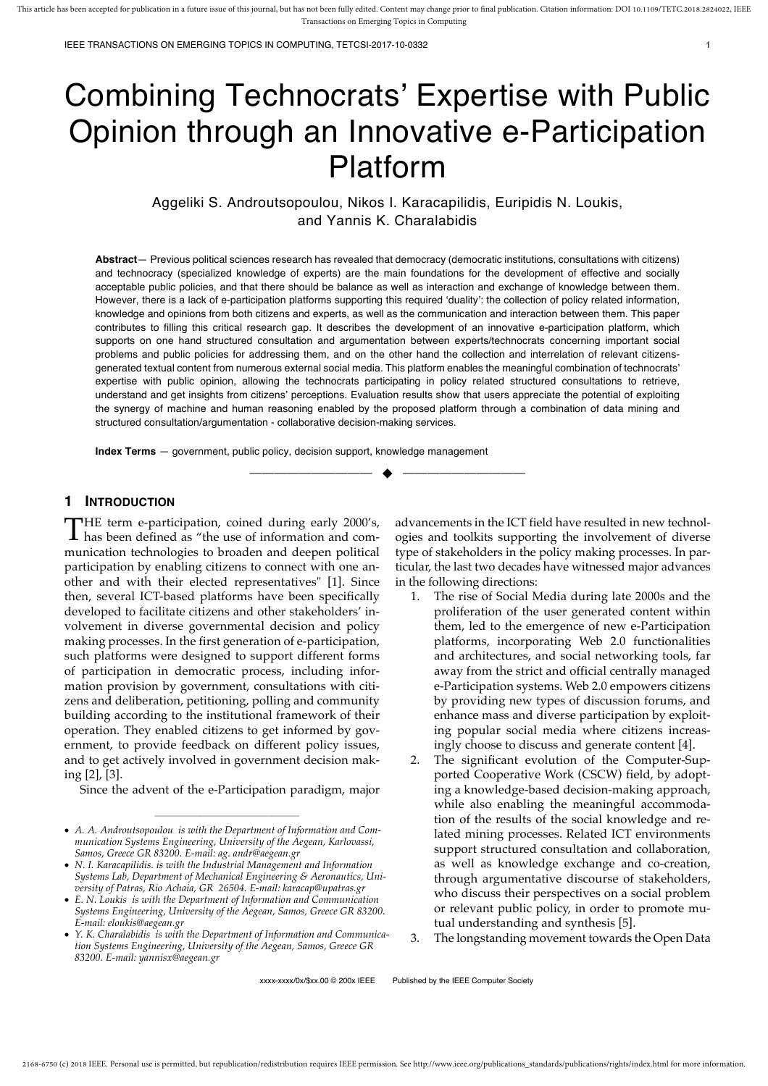# Combining Technocrats' Expertise with Public Opinion through an Innovative e-Participation Platform

Aggeliki S. Androutsopoulou, Nikos I. Karacapilidis, Euripidis N. Loukis, and Yannis K. Charalabidis

**Abstract**— Previous political sciences research has revealed that democracy (democratic institutions, consultations with citizens) and technocracy (specialized knowledge of experts) are the main foundations for the development of effective and socially acceptable public policies, and that there should be balance as well as interaction and exchange of knowledge between them. However, there is a lack of e-participation platforms supporting this required 'duality': the collection of policy related information, knowledge and opinions from both citizens and experts, as well as the communication and interaction between them. This paper contributes to filling this critical research gap. It describes the development of an innovative e-participation platform, which supports on one hand structured consultation and argumentation between experts/technocrats concerning important social problems and public policies for addressing them, and on the other hand the collection and interrelation of relevant citizensgenerated textual content from numerous external social media. This platform enables the meaningful combination of technocrats' expertise with public opinion, allowing the technocrats participating in policy related structured consultations to retrieve, understand and get insights from citizens' perceptions. Evaluation results show that users appreciate the potential of exploiting the synergy of machine and human reasoning enabled by the proposed platform through a combination of data mining and structured consultation/argumentation - collaborative decision-making services.

—————————— u ——————————

**Index Terms** — government, public policy, decision support, knowledge management

## **1 INTRODUCTION**

HE term e-participation, coined during early 2000's, THE term e-participation, coined during early 2000's, has been defined as "the use of information and communication technologies to broaden and deepen political participation by enabling citizens to connect with one another and with their elected representatives" [1]. Since then, several ICT-based platforms have been specifically developed to facilitate citizens and other stakeholders' involvement in diverse governmental decision and policy making processes. In the first generation of e-participation, such platforms were designed to support different forms of participation in democratic process, including information provision by government, consultations with citizens and deliberation, petitioning, polling and community building according to the institutional framework of their operation. They enabled citizens to get informed by government, to provide feedback on different policy issues, and to get actively involved in government decision making [2], [3].

Since the advent of the e-Participation paradigm, major ————————————————

- *A. A. Androutsopoulou is with the Department of Information and Communication Systems Engineering, University of the Aegean, Karlovassi, Samos, Greece GR 83200. E-mail: ag. andr@aegean.gr*
- *N. I. Karacapilidis. is with the Industrial Management and Information Systems Lab, Department of Mechanical Engineering & Aeronautics, University of Patras, Rio Achaia, GR 26504. E-mail: karacap@upatras.gr*
- *E. N. Loukis is with the Department of Information and Communication Systems Engineering, University of the Aegean, Samos, Greece GR 83200. E-mail: eloukis@aegean.gr*
- *Y. K. Charalabidis is with the Department of Information and Communication Systems Engineering, University of the Aegean, Samos, Greece GR 83200. E-mail: yannisx@aegean.gr*

advancements in the ICT field have resulted in new technologies and toolkits supporting the involvement of diverse type of stakeholders in the policy making processes. In particular, the last two decades have witnessed major advances in the following directions:

- 1. The rise of Social Media during late 2000s and the proliferation of the user generated content within them, led to the emergence of new e-Participation platforms, incorporating Web 2.0 functionalities and architectures, and social networking tools, far away from the strict and official centrally managed e-Participation systems. Web 2.0 empowers citizens by providing new types of discussion forums, and enhance mass and diverse participation by exploiting popular social media where citizens increasingly choose to discuss and generate content [4].
- 2. The significant evolution of the Computer-Supported Cooperative Work (CSCW) field, by adopting a knowledge-based decision-making approach, while also enabling the meaningful accommodation of the results of the social knowledge and related mining processes. Related ICT environments support structured consultation and collaboration, as well as knowledge exchange and co-creation, through argumentative discourse of stakeholders, who discuss their perspectives on a social problem or relevant public policy, in order to promote mutual understanding and synthesis [5].
- 3. The longstanding movement towards the Open Data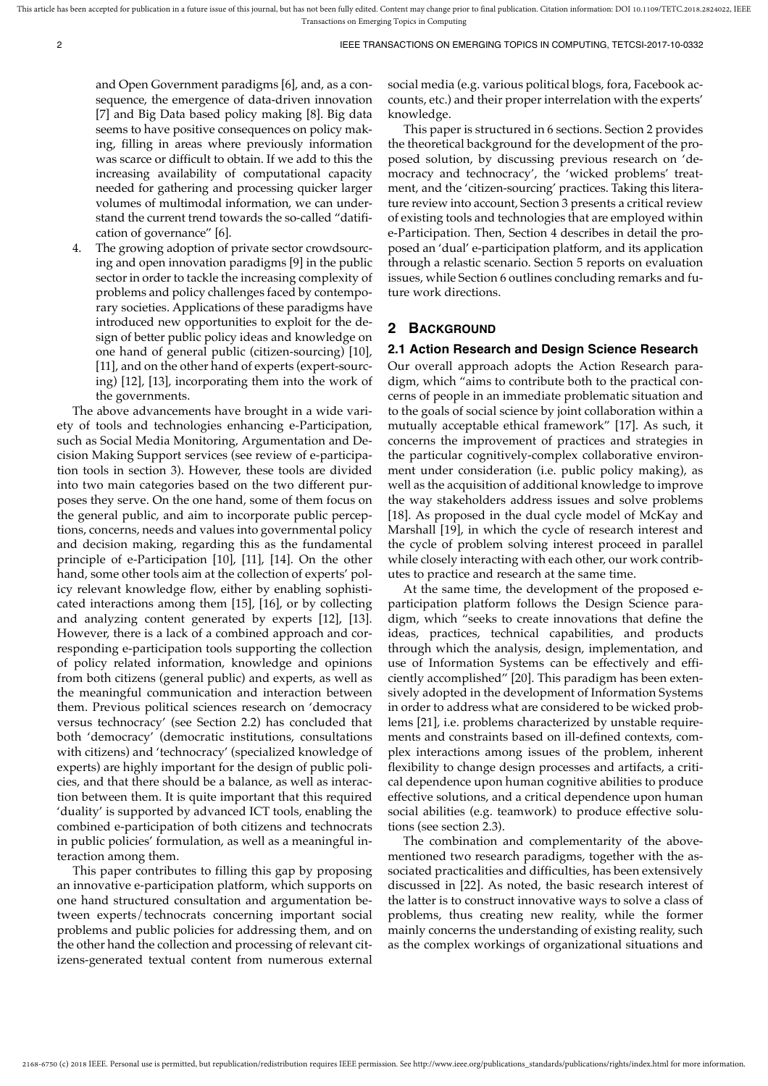2 IEEE TRANSACTIONS ON EMERGING TOPICS IN COMPUTING, TETCSI-2017-10-0332

and Open Government paradigms [6], and, as a consequence, the emergence of data-driven innovation [7] and Big Data based policy making [8]. Big data seems to have positive consequences on policy making, filling in areas where previously information was scarce or difficult to obtain. If we add to this the increasing availability of computational capacity needed for gathering and processing quicker larger volumes of multimodal information, we can understand the current trend towards the so-called "datification of governance" [6].

4. The growing adoption of private sector crowdsourcing and open innovation paradigms [9] in the public sector in order to tackle the increasing complexity of problems and policy challenges faced by contemporary societies. Applications of these paradigms have introduced new opportunities to exploit for the design of better public policy ideas and knowledge on one hand of general public (citizen-sourcing) [10], [11], and on the other hand of experts (expert-sourcing) [12], [13], incorporating them into the work of the governments.

The above advancements have brought in a wide variety of tools and technologies enhancing e-Participation, such as Social Media Monitoring, Argumentation and Decision Making Support services (see review of e-participation tools in section 3). However, these tools are divided into two main categories based on the two different purposes they serve. On the one hand, some of them focus on the general public, and aim to incorporate public perceptions, concerns, needs and values into governmental policy and decision making, regarding this as the fundamental principle of e-Participation [10], [11], [14]. On the other hand, some other tools aim at the collection of experts' policy relevant knowledge flow, either by enabling sophisticated interactions among them [15], [16], or by collecting and analyzing content generated by experts [12], [13]. However, there is a lack of a combined approach and corresponding e-participation tools supporting the collection of policy related information, knowledge and opinions from both citizens (general public) and experts, as well as the meaningful communication and interaction between them. Previous political sciences research on 'democracy versus technocracy' (see Section 2.2) has concluded that both 'democracy' (democratic institutions, consultations with citizens) and 'technocracy' (specialized knowledge of experts) are highly important for the design of public policies, and that there should be a balance, as well as interaction between them. It is quite important that this required 'duality' is supported by advanced ICT tools, enabling the combined e-participation of both citizens and technocrats in public policies' formulation, as well as a meaningful interaction among them.

This paper contributes to filling this gap by proposing an innovative e-participation platform, which supports on one hand structured consultation and argumentation between experts/technocrats concerning important social problems and public policies for addressing them, and on the other hand the collection and processing of relevant citizens-generated textual content from numerous external

social media (e.g. various political blogs, fora, Facebook accounts, etc.) and their proper interrelation with the experts' knowledge.

This paper is structured in 6 sections. Section 2 provides the theoretical background for the development of the proposed solution, by discussing previous research on 'democracy and technocracy', the 'wicked problems' treatment, and the 'citizen-sourcing' practices. Taking this literature review into account, Section 3 presents a critical review of existing tools and technologies that are employed within e-Participation. Then, Section 4 describes in detail the proposed an 'dual' e-participation platform, and its application through a relastic scenario. Section 5 reports on evaluation issues, while Section 6 outlines concluding remarks and future work directions.

#### **2 BACKGROUND**

#### **2.1 Action Research and Design Science Research**

Our overall approach adopts the Action Research paradigm, which "aims to contribute both to the practical concerns of people in an immediate problematic situation and to the goals of social science by joint collaboration within a mutually acceptable ethical framework" [17]. As such, it concerns the improvement of practices and strategies in the particular cognitively-complex collaborative environment under consideration (i.e. public policy making), as well as the acquisition of additional knowledge to improve the way stakeholders address issues and solve problems [18]. As proposed in the dual cycle model of McKay and Marshall [19], in which the cycle of research interest and the cycle of problem solving interest proceed in parallel while closely interacting with each other, our work contributes to practice and research at the same time.

At the same time, the development of the proposed eparticipation platform follows the Design Science paradigm, which "seeks to create innovations that define the ideas, practices, technical capabilities, and products through which the analysis, design, implementation, and use of Information Systems can be effectively and efficiently accomplished" [20]. This paradigm has been extensively adopted in the development of Information Systems in order to address what are considered to be wicked problems [21], i.e. problems characterized by unstable requirements and constraints based on ill-defined contexts, complex interactions among issues of the problem, inherent flexibility to change design processes and artifacts, a critical dependence upon human cognitive abilities to produce effective solutions, and a critical dependence upon human social abilities (e.g. teamwork) to produce effective solutions (see section 2.3).

The combination and complementarity of the abovementioned two research paradigms, together with the associated practicalities and difficulties, has been extensively discussed in [22]. As noted, the basic research interest of the latter is to construct innovative ways to solve a class of problems, thus creating new reality, while the former mainly concerns the understanding of existing reality, such as the complex workings of organizational situations and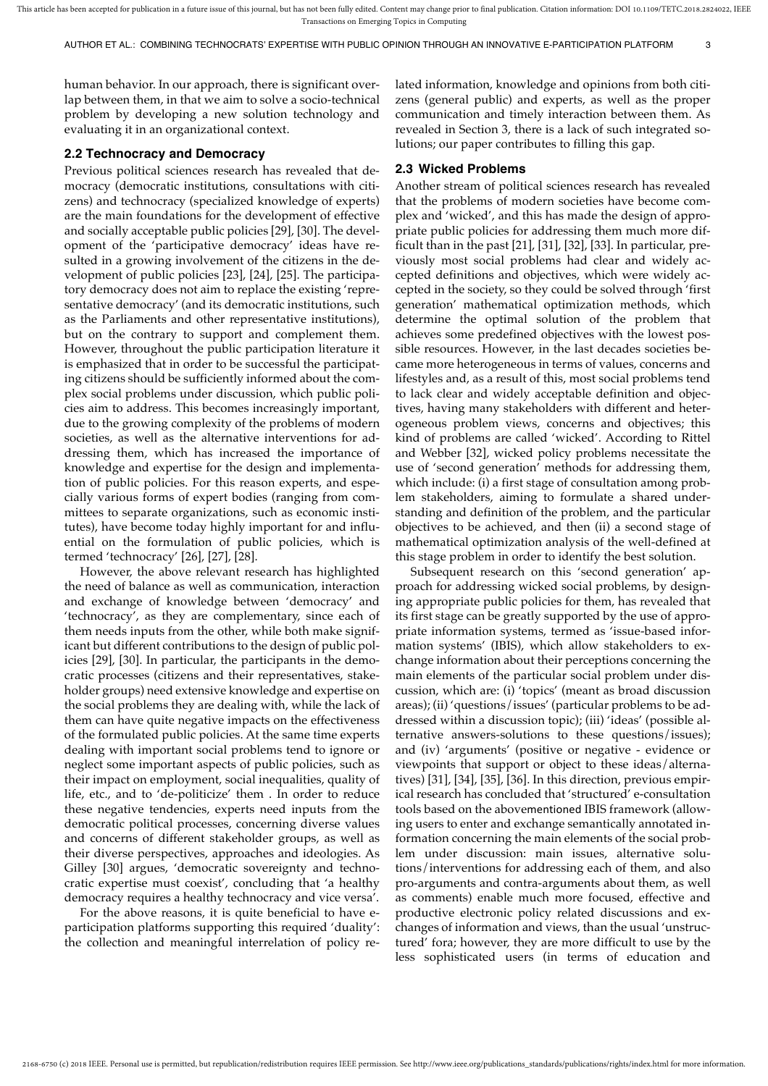human behavior. In our approach, there is significant overlap between them, in that we aim to solve a socio-technical problem by developing a new solution technology and evaluating it in an organizational context.

#### **2.2 Technocracy and Democracy**

Previous political sciences research has revealed that democracy (democratic institutions, consultations with citizens) and technocracy (specialized knowledge of experts) are the main foundations for the development of effective and socially acceptable public policies [29], [30]. The development of the 'participative democracy' ideas have resulted in a growing involvement of the citizens in the development of public policies [23], [24], [25]. The participatory democracy does not aim to replace the existing 'representative democracy' (and its democratic institutions, such as the Parliaments and other representative institutions), but on the contrary to support and complement them. However, throughout the public participation literature it is emphasized that in order to be successful the participating citizens should be sufficiently informed about the complex social problems under discussion, which public policies aim to address. This becomes increasingly important, due to the growing complexity of the problems of modern societies, as well as the alternative interventions for addressing them, which has increased the importance of knowledge and expertise for the design and implementation of public policies. For this reason experts, and especially various forms of expert bodies (ranging from committees to separate organizations, such as economic institutes), have become today highly important for and influential on the formulation of public policies, which is termed 'technocracy' [26], [27], [28].

However, the above relevant research has highlighted the need of balance as well as communication, interaction and exchange of knowledge between 'democracy' and 'technocracy', as they are complementary, since each of them needs inputs from the other, while both make significant but different contributions to the design of public policies [29], [30]. In particular, the participants in the democratic processes (citizens and their representatives, stakeholder groups) need extensive knowledge and expertise on the social problems they are dealing with, while the lack of them can have quite negative impacts on the effectiveness of the formulated public policies. At the same time experts dealing with important social problems tend to ignore or neglect some important aspects of public policies, such as their impact on employment, social inequalities, quality of life, etc., and to 'de-politicize' them . In order to reduce these negative tendencies, experts need inputs from the democratic political processes, concerning diverse values and concerns of different stakeholder groups, as well as their diverse perspectives, approaches and ideologies. As Gilley [30] argues, 'democratic sovereignty and technocratic expertise must coexist', concluding that 'a healthy democracy requires a healthy technocracy and vice versa'.

For the above reasons, it is quite beneficial to have eparticipation platforms supporting this required 'duality': the collection and meaningful interrelation of policy related information, knowledge and opinions from both citizens (general public) and experts, as well as the proper communication and timely interaction between them. As revealed in Section 3, there is a lack of such integrated solutions; our paper contributes to filling this gap.

#### **2.3 Wicked Problems**

Another stream of political sciences research has revealed that the problems of modern societies have become complex and 'wicked', and this has made the design of appropriate public policies for addressing them much more difficult than in the past [21], [31], [32], [33]. In particular, previously most social problems had clear and widely accepted definitions and objectives, which were widely accepted in the society, so they could be solved through 'first generation' mathematical optimization methods, which determine the optimal solution of the problem that achieves some predefined objectives with the lowest possible resources. However, in the last decades societies became more heterogeneous in terms of values, concerns and lifestyles and, as a result of this, most social problems tend to lack clear and widely acceptable definition and objectives, having many stakeholders with different and heterogeneous problem views, concerns and objectives; this kind of problems are called 'wicked'. According to Rittel and Webber [32], wicked policy problems necessitate the use of 'second generation' methods for addressing them, which include: (i) a first stage of consultation among problem stakeholders, aiming to formulate a shared understanding and definition of the problem, and the particular objectives to be achieved, and then (ii) a second stage of mathematical optimization analysis of the well-defined at this stage problem in order to identify the best solution.

Subsequent research on this 'second generation' approach for addressing wicked social problems, by designing appropriate public policies for them, has revealed that its first stage can be greatly supported by the use of appropriate information systems, termed as 'issue-based information systems' (IBIS), which allow stakeholders to exchange information about their perceptions concerning the main elements of the particular social problem under discussion, which are: (i) 'topics' (meant as broad discussion areas); (ii) 'questions/issues' (particular problems to be addressed within a discussion topic); (iii) 'ideas' (possible alternative answers-solutions to these questions/issues); and (iv) 'arguments' (positive or negative - evidence or viewpoints that support or object to these ideas/alternatives) [31], [34], [35], [36]. In this direction, previous empirical research has concluded that 'structured' e-consultation tools based on the abovementioned IBIS framework (allowing users to enter and exchange semantically annotated information concerning the main elements of the social problem under discussion: main issues, alternative solutions/interventions for addressing each of them, and also pro-arguments and contra-arguments about them, as well as comments) enable much more focused, effective and productive electronic policy related discussions and exchanges of information and views, than the usual 'unstructured' fora; however, they are more difficult to use by the less sophisticated users (in terms of education and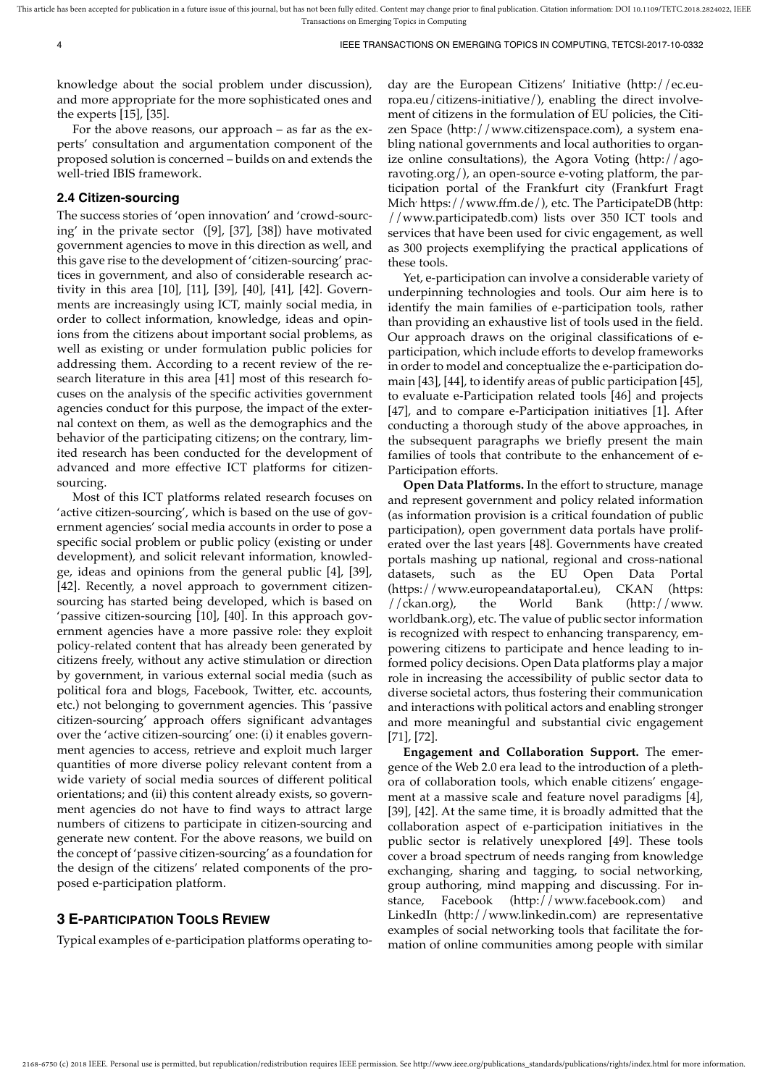knowledge about the social problem under discussion), and more appropriate for the more sophisticated ones and the experts [15], [35].

For the above reasons, our approach – as far as the experts' consultation and argumentation component of the proposed solution is concerned – builds on and extends the well-tried IBIS framework.

## **2.4 Citizen-sourcing**

The success stories of 'open innovation' and 'crowd-sourcing' in the private sector ([9], [37], [38]) have motivated government agencies to move in this direction as well, and this gave rise to the development of 'citizen-sourcing' practices in government, and also of considerable research activity in this area [10], [11], [39], [40], [41], [42]. Governments are increasingly using ICT, mainly social media, in order to collect information, knowledge, ideas and opinions from the citizens about important social problems, as well as existing or under formulation public policies for addressing them. According to a recent review of the research literature in this area [41] most of this research focuses on the analysis of the specific activities government agencies conduct for this purpose, the impact of the external context on them, as well as the demographics and the behavior of the participating citizens; on the contrary, limited research has been conducted for the development of advanced and more effective ICT platforms for citizensourcing.

Most of this ICT platforms related research focuses on 'active citizen-sourcing', which is based on the use of government agencies' social media accounts in order to pose a specific social problem or public policy (existing or under development), and solicit relevant information, knowledge, ideas and opinions from the general public [4], [39], [42]. Recently, a novel approach to government citizensourcing has started being developed, which is based on 'passive citizen-sourcing [10], [40]. In this approach government agencies have a more passive role: they exploit policy-related content that has already been generated by citizens freely, without any active stimulation or direction by government, in various external social media (such as political fora and blogs, Facebook, Twitter, etc. accounts, etc.) not belonging to government agencies. This 'passive citizen-sourcing' approach offers significant advantages over the 'active citizen-sourcing' one: (i) it enables government agencies to access, retrieve and exploit much larger quantities of more diverse policy relevant content from a wide variety of social media sources of different political orientations; and (ii) this content already exists, so government agencies do not have to find ways to attract large numbers of citizens to participate in citizen-sourcing and generate new content. For the above reasons, we build on the concept of 'passive citizen-sourcing' as a foundation for the design of the citizens' related components of the proposed e-participation platform.

#### **3 E-PARTICIPATION TOOLS REVIEW**

Typical examples of e-participation platforms operating to-

day are the European Citizens' Initiative (http://ec.europa.eu/citizens-initiative/), enabling the direct involvement of citizens in the formulation of EU policies, the Citizen Space (http://www.citizenspace.com), a system enabling national governments and local authorities to organize online consultations), the Agora Voting (http://agoravoting.org/), an open-source e-voting platform, the participation portal of the Frankfurt city (Frankfurt Fragt Mich, https://www.ffm.de/), etc. The ParticipateDB (http: //www.participatedb.com) lists over 350 ICT tools and services that have been used for civic engagement, as well as 300 projects exemplifying the practical applications of these tools.

Yet, e-participation can involve a considerable variety of underpinning technologies and tools. Our aim here is to identify the main families of e-participation tools, rather than providing an exhaustive list of tools used in the field. Our approach draws on the original classifications of eparticipation, which include efforts to develop frameworks in order to model and conceptualize the e-participation domain [43], [44], to identify areas of public participation [45], to evaluate e-Participation related tools [46] and projects [47], and to compare e-Participation initiatives [1]. After conducting a thorough study of the above approaches, in the subsequent paragraphs we briefly present the main families of tools that contribute to the enhancement of e-Participation efforts.

**Open Data Platforms.** In the effort to structure, manage and represent government and policy related information (as information provision is a critical foundation of public participation), open government data portals have proliferated over the last years [48]. Governments have created portals mashing up national, regional and cross-national datasets, such as the EU Open Data Portal (https://www.europeandataportal.eu), CKAN (https: //ckan.org), the World Bank (http://www. worldbank.org), etc. The value of public sector information is recognized with respect to enhancing transparency, empowering citizens to participate and hence leading to informed policy decisions. Open Data platforms play a major role in increasing the accessibility of public sector data to diverse societal actors, thus fostering their communication and interactions with political actors and enabling stronger and more meaningful and substantial civic engagement [71], [72].

**Engagement and Collaboration Support.** The emergence of the Web 2.0 era lead to the introduction of a plethora of collaboration tools, which enable citizens' engagement at a massive scale and feature novel paradigms [4], [39], [42]. At the same time, it is broadly admitted that the collaboration aspect of e-participation initiatives in the public sector is relatively unexplored [49]. These tools cover a broad spectrum of needs ranging from knowledge exchanging, sharing and tagging, to social networking, group authoring, mind mapping and discussing. For instance, Facebook (http://www.facebook.com) and LinkedIn (http://www.linkedin.com) are representative examples of social networking tools that facilitate the formation of online communities among people with similar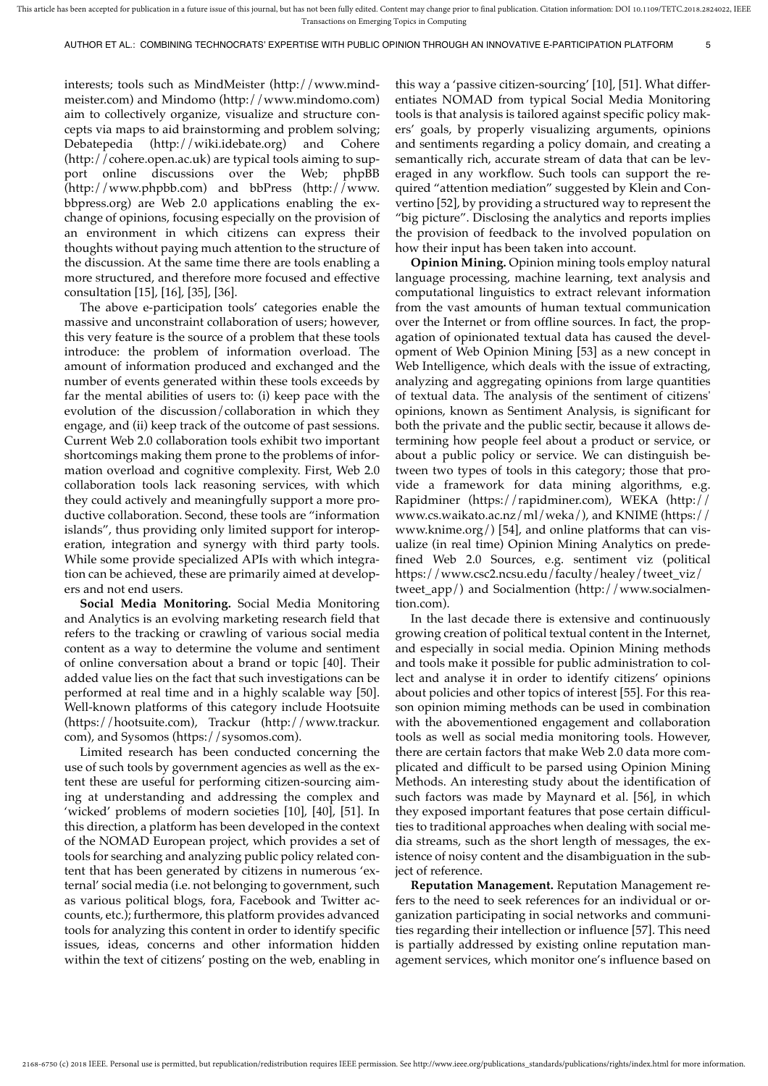interests; tools such as MindMeister (http://www.mindmeister.com) and Mindomo (http://www.mindomo.com) aim to collectively organize, visualize and structure concepts via maps to aid brainstorming and problem solving; Debatepedia (http://wiki.idebate.org) and Cohere (http://cohere.open.ac.uk) are typical tools aiming to support online discussions over the Web; phpBB (http://www.phpbb.com) and bbPress (http://www. bbpress.org) are Web 2.0 applications enabling the exchange of opinions, focusing especially on the provision of an environment in which citizens can express their thoughts without paying much attention to the structure of the discussion. At the same time there are tools enabling a more structured, and therefore more focused and effective consultation [15], [16], [35], [36].

The above e-participation tools' categories enable the massive and unconstraint collaboration of users; however, this very feature is the source of a problem that these tools introduce: the problem of information overload. The amount of information produced and exchanged and the number of events generated within these tools exceeds by far the mental abilities of users to: (i) keep pace with the evolution of the discussion/collaboration in which they engage, and (ii) keep track of the outcome of past sessions. Current Web 2.0 collaboration tools exhibit two important shortcomings making them prone to the problems of information overload and cognitive complexity. First, Web 2.0 collaboration tools lack reasoning services, with which they could actively and meaningfully support a more productive collaboration. Second, these tools are "information islands", thus providing only limited support for interoperation, integration and synergy with third party tools. While some provide specialized APIs with which integration can be achieved, these are primarily aimed at developers and not end users.

**Social Media Monitoring.** Social Media Monitoring and Analytics is an evolving marketing research field that refers to the tracking or crawling of various social media content as a way to determine the volume and sentiment of online conversation about a brand or topic [40]. Their added value lies on the fact that such investigations can be performed at real time and in a highly scalable way [50]. Well-known platforms of this category include Hootsuite (https://hootsuite.com), Trackur (http://www.trackur. com), and Sysomos (https://sysomos.com).

Limited research has been conducted concerning the use of such tools by government agencies as well as the extent these are useful for performing citizen-sourcing aiming at understanding and addressing the complex and 'wicked' problems of modern societies [10], [40], [51]. In this direction, a platform has been developed in the context of the NOMAD European project, which provides a set of tools for searching and analyzing public policy related content that has been generated by citizens in numerous 'external' social media (i.e. not belonging to government, such as various political blogs, fora, Facebook and Twitter accounts, etc.); furthermore, this platform provides advanced tools for analyzing this content in order to identify specific issues, ideas, concerns and other information hidden within the text of citizens' posting on the web, enabling in this way a 'passive citizen-sourcing' [10], [51]. What differentiates NOMAD from typical Social Media Monitoring tools is that analysis is tailored against specific policy makers' goals, by properly visualizing arguments, opinions and sentiments regarding a policy domain, and creating a semantically rich, accurate stream of data that can be leveraged in any workflow. Such tools can support the required "attention mediation" suggested by Klein and Convertino [52], by providing a structured way to represent the "big picture". Disclosing the analytics and reports implies the provision of feedback to the involved population on how their input has been taken into account.

**Opinion Mining.** Opinion mining tools employ natural language processing, machine learning, text analysis and computational linguistics to extract relevant information from the vast amounts of human textual communication over the Internet or from offline sources. In fact, the propagation of opinionated textual data has caused the development of Web Opinion Mining [53] as a new concept in Web Intelligence, which deals with the issue of extracting, analyzing and aggregating opinions from large quantities of textual data. The analysis of the sentiment of citizens' opinions, known as Sentiment Analysis, is significant for both the private and the public sectir, because it allows determining how people feel about a product or service, or about a public policy or service. We can distinguish between two types of tools in this category; those that provide a framework for data mining algorithms, e.g. Rapidminer (https://rapidminer.com), WEKA (http:// www.cs.waikato.ac.nz/ml/weka/), and KNIME (https:// www.knime.org/) [54], and online platforms that can visualize (in real time) Opinion Mining Analytics on predefined Web 2.0 Sources, e.g. sentiment viz (political https://www.csc2.ncsu.edu/faculty/healey/tweet\_viz/ tweet app/) and Socialmention (http://www.socialmention.com).

In the last decade there is extensive and continuously growing creation of political textual content in the Internet, and especially in social media. Opinion Mining methods and tools make it possible for public administration to collect and analyse it in order to identify citizens' opinions about policies and other topics of interest [55]. For this reason opinion miming methods can be used in combination with the abovementioned engagement and collaboration tools as well as social media monitoring tools. However, there are certain factors that make Web 2.0 data more complicated and difficult to be parsed using Opinion Mining Methods. An interesting study about the identification of such factors was made by Maynard et al. [56], in which they exposed important features that pose certain difficulties to traditional approaches when dealing with social media streams, such as the short length of messages, the existence of noisy content and the disambiguation in the subject of reference.

**Reputation Management.** Reputation Management refers to the need to seek references for an individual or organization participating in social networks and communities regarding their intellection or influence [57]. This need is partially addressed by existing online reputation management services, which monitor one's influence based on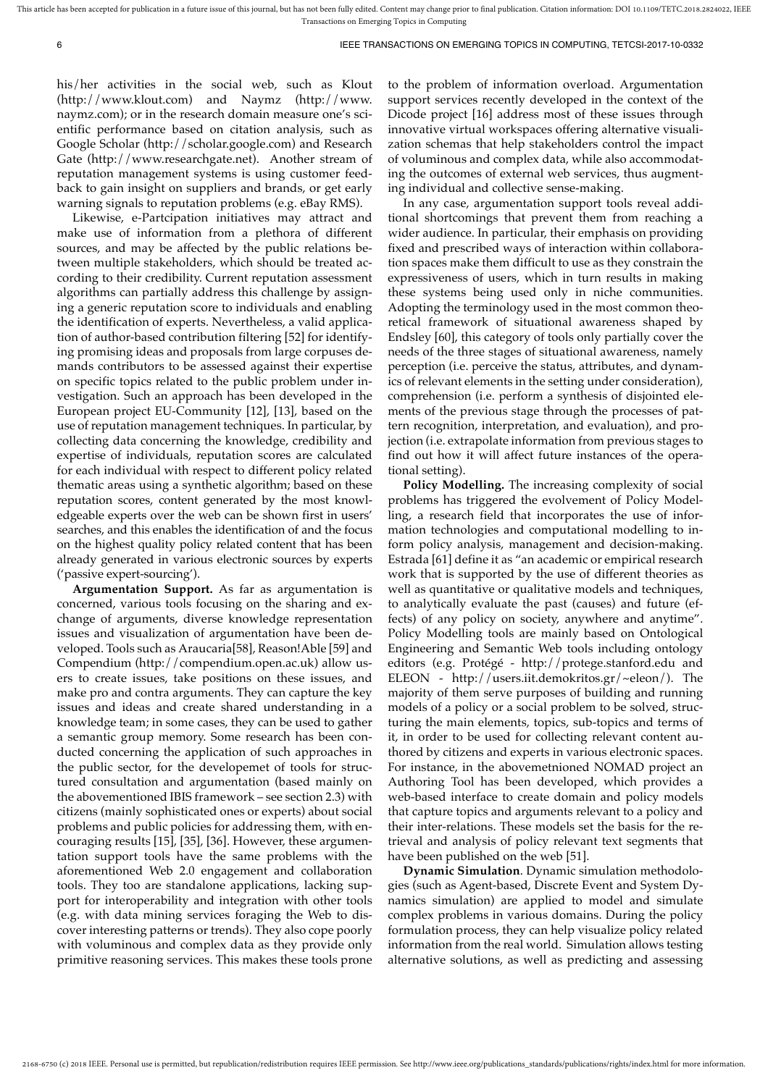his/her activities in the social web, such as Klout (http://www.klout.com) and Naymz (http://www. naymz.com); or in the research domain measure one's scientific performance based on citation analysis, such as Google Scholar (http://scholar.google.com) and Research Gate (http://www.researchgate.net). Another stream of reputation management systems is using customer feedback to gain insight on suppliers and brands, or get early warning signals to reputation problems (e.g. eBay RMS).

Likewise, e-Partcipation initiatives may attract and make use of information from a plethora of different sources, and may be affected by the public relations between multiple stakeholders, which should be treated according to their credibility. Current reputation assessment algorithms can partially address this challenge by assigning a generic reputation score to individuals and enabling the identification of experts. Nevertheless, a valid application of author-based contribution filtering [52] for identifying promising ideas and proposals from large corpuses demands contributors to be assessed against their expertise on specific topics related to the public problem under investigation. Such an approach has been developed in the European project EU-Community [12], [13], based on the use of reputation management techniques. In particular, by collecting data concerning the knowledge, credibility and expertise of individuals, reputation scores are calculated for each individual with respect to different policy related thematic areas using a synthetic algorithm; based on these reputation scores, content generated by the most knowledgeable experts over the web can be shown first in users' searches, and this enables the identification of and the focus on the highest quality policy related content that has been already generated in various electronic sources by experts ('passive expert-sourcing').

**Argumentation Support.** As far as argumentation is concerned, various tools focusing on the sharing and exchange of arguments, diverse knowledge representation issues and visualization of argumentation have been developed. Tools such as Araucaria[58], Reason!Able [59] and Compendium (http://compendium.open.ac.uk) allow users to create issues, take positions on these issues, and make pro and contra arguments. They can capture the key issues and ideas and create shared understanding in a knowledge team; in some cases, they can be used to gather a semantic group memory. Some research has been conducted concerning the application of such approaches in the public sector, for the developemet of tools for structured consultation and argumentation (based mainly on the abovementioned IBIS framework – see section 2.3) with citizens (mainly sophisticated ones or experts) about social problems and public policies for addressing them, with encouraging results [15], [35], [36]. However, these argumentation support tools have the same problems with the aforementioned Web 2.0 engagement and collaboration tools. They too are standalone applications, lacking support for interoperability and integration with other tools (e.g. with data mining services foraging the Web to discover interesting patterns or trends). They also cope poorly with voluminous and complex data as they provide only primitive reasoning services. This makes these tools prone to the problem of information overload. Argumentation support services recently developed in the context of the Dicode project [16] address most of these issues through innovative virtual workspaces offering alternative visualization schemas that help stakeholders control the impact of voluminous and complex data, while also accommodating the outcomes of external web services, thus augmenting individual and collective sense-making.

In any case, argumentation support tools reveal additional shortcomings that prevent them from reaching a wider audience. In particular, their emphasis on providing fixed and prescribed ways of interaction within collaboration spaces make them difficult to use as they constrain the expressiveness of users, which in turn results in making these systems being used only in niche communities. Adopting the terminology used in the most common theoretical framework of situational awareness shaped by Endsley [60], this category of tools only partially cover the needs of the three stages of situational awareness, namely perception (i.e. perceive the status, attributes, and dynamics of relevant elements in the setting under consideration), comprehension (i.e. perform a synthesis of disjointed elements of the previous stage through the processes of pattern recognition, interpretation, and evaluation), and projection (i.e. extrapolate information from previous stages to find out how it will affect future instances of the operational setting).

**Policy Modelling.** The increasing complexity of social problems has triggered the evolvement of Policy Modelling, a research field that incorporates the use of information technologies and computational modelling to inform policy analysis, management and decision-making. Estrada [61] define it as "an academic or empirical research work that is supported by the use of different theories as well as quantitative or qualitative models and techniques, to analytically evaluate the past (causes) and future (effects) of any policy on society, anywhere and anytime". Policy Modelling tools are mainly based on Ontological Engineering and Semantic Web tools including ontology editors (e.g. Protégé - http://protege.stanford.edu and ELEON - http://users.iit.demokritos.gr/~eleon/). The majority of them serve purposes of building and running models of a policy or a social problem to be solved, structuring the main elements, topics, sub-topics and terms of it, in order to be used for collecting relevant content authored by citizens and experts in various electronic spaces. For instance, in the abovemetnioned NOMAD project an Authoring Tool has been developed, which provides a web-based interface to create domain and policy models that capture topics and arguments relevant to a policy and their inter-relations. These models set the basis for the retrieval and analysis of policy relevant text segments that have been published on the web [51].

**Dynamic Simulation**. Dynamic simulation methodologies (such as Agent-based, Discrete Event and System Dynamics simulation) are applied to model and simulate complex problems in various domains. During the policy formulation process, they can help visualize policy related information from the real world. Simulation allows testing alternative solutions, as well as predicting and assessing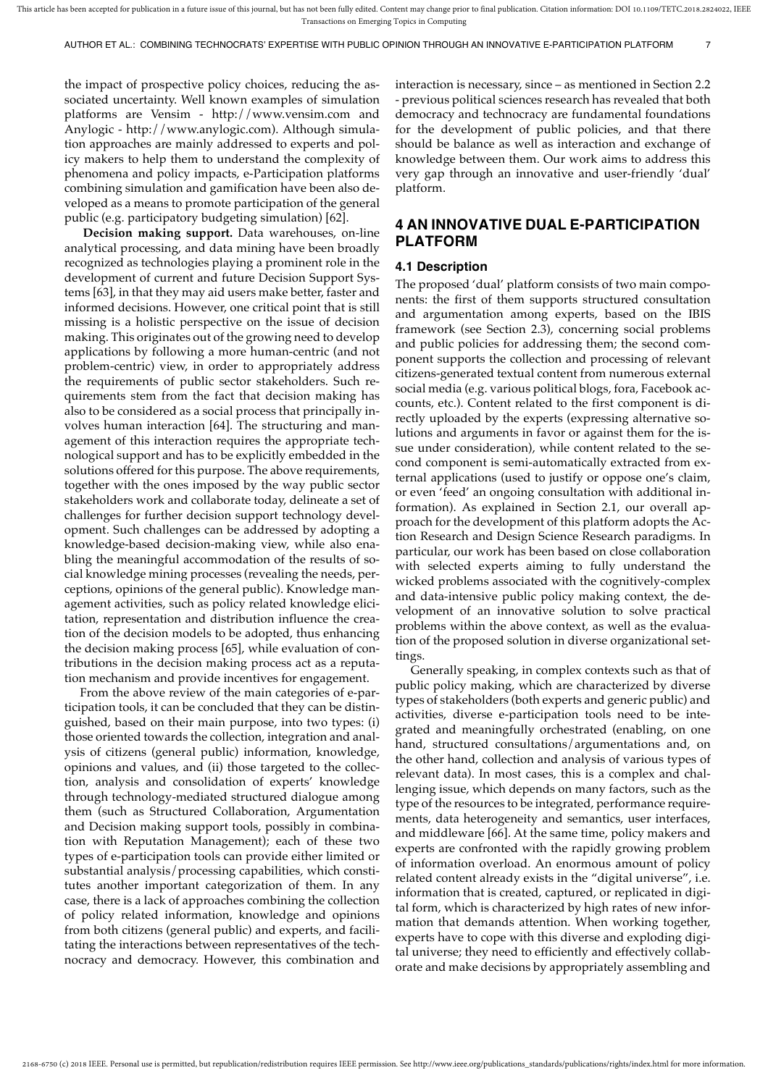the impact of prospective policy choices, reducing the associated uncertainty. Well known examples of simulation platforms are Vensim - http://www.vensim.com and Anylogic - http://www.anylogic.com). Although simulation approaches are mainly addressed to experts and policy makers to help them to understand the complexity of phenomena and policy impacts, e-Participation platforms combining simulation and gamification have been also developed as a means to promote participation of the general public (e.g. participatory budgeting simulation) [62].

**Decision making support.** Data warehouses, on-line analytical processing, and data mining have been broadly recognized as technologies playing a prominent role in the development of current and future Decision Support Systems [63], in that they may aid users make better, faster and informed decisions. However, one critical point that is still missing is a holistic perspective on the issue of decision making. This originates out of the growing need to develop applications by following a more human-centric (and not problem-centric) view, in order to appropriately address the requirements of public sector stakeholders. Such requirements stem from the fact that decision making has also to be considered as a social process that principally involves human interaction [64]. The structuring and management of this interaction requires the appropriate technological support and has to be explicitly embedded in the solutions offered for this purpose. The above requirements, together with the ones imposed by the way public sector stakeholders work and collaborate today, delineate a set of challenges for further decision support technology development. Such challenges can be addressed by adopting a knowledge-based decision-making view, while also enabling the meaningful accommodation of the results of social knowledge mining processes (revealing the needs, perceptions, opinions of the general public). Knowledge management activities, such as policy related knowledge elicitation, representation and distribution influence the creation of the decision models to be adopted, thus enhancing the decision making process [65], while evaluation of contributions in the decision making process act as a reputation mechanism and provide incentives for engagement.

From the above review of the main categories of e-participation tools, it can be concluded that they can be distinguished, based on their main purpose, into two types: (i) those oriented towards the collection, integration and analysis of citizens (general public) information, knowledge, opinions and values, and (ii) those targeted to the collection, analysis and consolidation of experts' knowledge through technology-mediated structured dialogue among them (such as Structured Collaboration, Argumentation and Decision making support tools, possibly in combination with Reputation Management); each of these two types of e-participation tools can provide either limited or substantial analysis/processing capabilities, which constitutes another important categorization of them. In any case, there is a lack of approaches combining the collection of policy related information, knowledge and opinions from both citizens (general public) and experts, and facilitating the interactions between representatives of the technocracy and democracy. However, this combination and

interaction is necessary, since – as mentioned in Section 2.2 - previous political sciences research has revealed that both democracy and technocracy are fundamental foundations for the development of public policies, and that there should be balance as well as interaction and exchange of knowledge between them. Our work aims to address this very gap through an innovative and user-friendly 'dual' platform.

# **4 AN INNOVATIVE DUAL E-PARTICIPATION PLATFORM**

#### **4.1 Description**

The proposed 'dual' platform consists of two main components: the first of them supports structured consultation and argumentation among experts, based on the IBIS framework (see Section 2.3), concerning social problems and public policies for addressing them; the second component supports the collection and processing of relevant citizens-generated textual content from numerous external social media (e.g. various political blogs, fora, Facebook accounts, etc.). Content related to the first component is directly uploaded by the experts (expressing alternative solutions and arguments in favor or against them for the issue under consideration), while content related to the second component is semi-automatically extracted from external applications (used to justify or oppose one's claim, or even 'feed' an ongoing consultation with additional information). As explained in Section 2.1, our overall approach for the development of this platform adopts the Action Research and Design Science Research paradigms. In particular, our work has been based on close collaboration with selected experts aiming to fully understand the wicked problems associated with the cognitively-complex and data-intensive public policy making context, the development of an innovative solution to solve practical problems within the above context, as well as the evaluation of the proposed solution in diverse organizational settings.

Generally speaking, in complex contexts such as that of public policy making, which are characterized by diverse types of stakeholders (both experts and generic public) and activities, diverse e-participation tools need to be integrated and meaningfully orchestrated (enabling, on one hand, structured consultations/argumentations and, on the other hand, collection and analysis of various types of relevant data). In most cases, this is a complex and challenging issue, which depends on many factors, such as the type of the resources to be integrated, performance requirements, data heterogeneity and semantics, user interfaces, and middleware [66]. At the same time, policy makers and experts are confronted with the rapidly growing problem of information overload. An enormous amount of policy related content already exists in the "digital universe", i.e. information that is created, captured, or replicated in digital form, which is characterized by high rates of new information that demands attention. When working together, experts have to cope with this diverse and exploding digital universe; they need to efficiently and effectively collaborate and make decisions by appropriately assembling and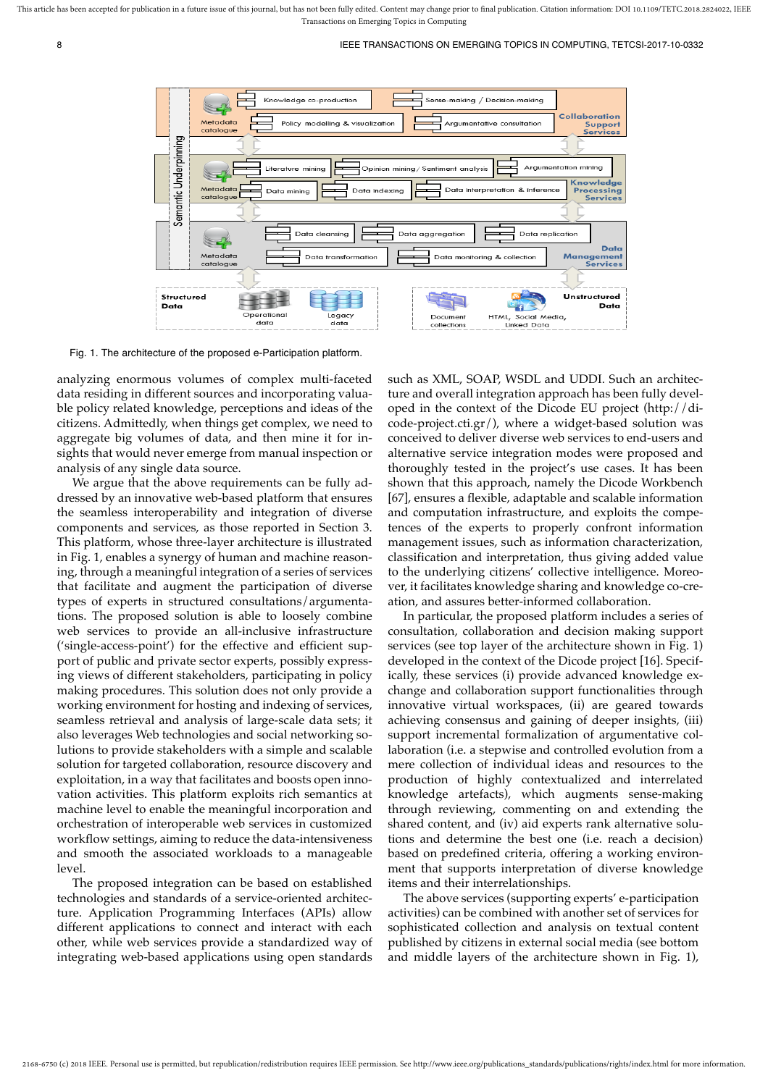

Fig. 1. The architecture of the proposed e-Participation platform.

analyzing enormous volumes of complex multi-faceted data residing in different sources and incorporating valuable policy related knowledge, perceptions and ideas of the citizens. Admittedly, when things get complex, we need to aggregate big volumes of data, and then mine it for insights that would never emerge from manual inspection or analysis of any single data source.

We argue that the above requirements can be fully addressed by an innovative web-based platform that ensures the seamless interoperability and integration of diverse components and services, as those reported in Section 3. This platform, whose three-layer architecture is illustrated in Fig. 1, enables a synergy of human and machine reasoning, through a meaningful integration of a series of services that facilitate and augment the participation of diverse types of experts in structured consultations/argumentations. The proposed solution is able to loosely combine web services to provide an all-inclusive infrastructure ('single-access-point') for the effective and efficient support of public and private sector experts, possibly expressing views of different stakeholders, participating in policy making procedures. This solution does not only provide a working environment for hosting and indexing of services, seamless retrieval and analysis of large-scale data sets; it also leverages Web technologies and social networking solutions to provide stakeholders with a simple and scalable solution for targeted collaboration, resource discovery and exploitation, in a way that facilitates and boosts open innovation activities. This platform exploits rich semantics at machine level to enable the meaningful incorporation and orchestration of interoperable web services in customized workflow settings, aiming to reduce the data-intensiveness and smooth the associated workloads to a manageable level.

The proposed integration can be based on established technologies and standards of a service-oriented architecture. Application Programming Interfaces (APIs) allow different applications to connect and interact with each other, while web services provide a standardized way of integrating web-based applications using open standards such as XML, SOAP, WSDL and UDDI. Such an architecture and overall integration approach has been fully developed in the context of the Dicode EU project (http://dicode-project.cti.gr/), where a widget-based solution was conceived to deliver diverse web services to end-users and alternative service integration modes were proposed and thoroughly tested in the project's use cases. It has been shown that this approach, namely the Dicode Workbench [67], ensures a flexible, adaptable and scalable information and computation infrastructure, and exploits the competences of the experts to properly confront information management issues, such as information characterization, classification and interpretation, thus giving added value to the underlying citizens' collective intelligence. Moreover, it facilitates knowledge sharing and knowledge co-creation, and assures better-informed collaboration.

In particular, the proposed platform includes a series of consultation, collaboration and decision making support services (see top layer of the architecture shown in Fig. 1) developed in the context of the Dicode project [16]. Specifically, these services (i) provide advanced knowledge exchange and collaboration support functionalities through innovative virtual workspaces, (ii) are geared towards achieving consensus and gaining of deeper insights, (iii) support incremental formalization of argumentative collaboration (i.e. a stepwise and controlled evolution from a mere collection of individual ideas and resources to the production of highly contextualized and interrelated knowledge artefacts), which augments sense-making through reviewing, commenting on and extending the shared content, and (iv) aid experts rank alternative solutions and determine the best one (i.e. reach a decision) based on predefined criteria, offering a working environment that supports interpretation of diverse knowledge items and their interrelationships.

The above services (supporting experts' e-participation activities) can be combined with another set of services for sophisticated collection and analysis on textual content published by citizens in external social media (see bottom and middle layers of the architecture shown in Fig. 1),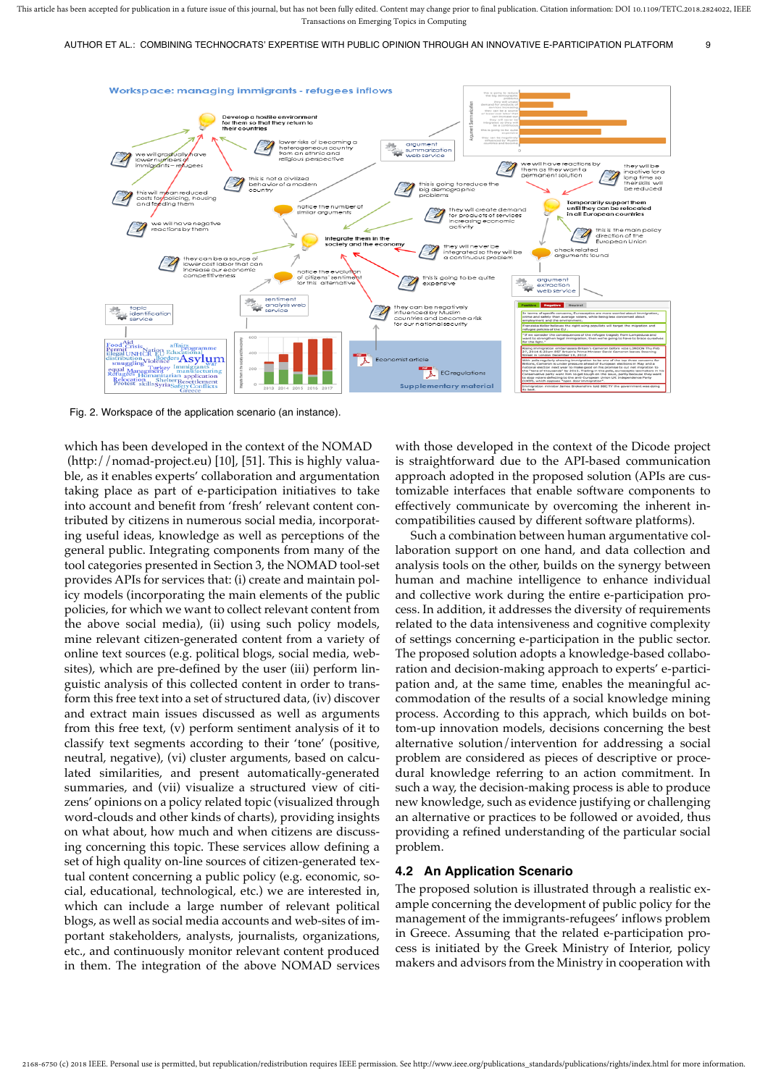

Fig. 2. Workspace of the application scenario (an instance).

which has been developed in the context of the NOMAD (http://nomad-project.eu) [10], [51]. This is highly valuable, as it enables experts' collaboration and argumentation taking place as part of e-participation initiatives to take into account and benefit from 'fresh' relevant content contributed by citizens in numerous social media, incorporating useful ideas, knowledge as well as perceptions of the general public. Integrating components from many of the tool categories presented in Section 3, the NOMAD tool-set provides APIs for services that: (i) create and maintain policy models (incorporating the main elements of the public policies, for which we want to collect relevant content from the above social media), (ii) using such policy models, mine relevant citizen-generated content from a variety of online text sources (e.g. political blogs, social media, websites), which are pre-defined by the user (iii) perform linguistic analysis of this collected content in order to transform this free text into a set of structured data, (iv) discover and extract main issues discussed as well as arguments from this free text, (v) perform sentiment analysis of it to classify text segments according to their 'tone' (positive, neutral, negative), (vi) cluster arguments, based on calculated similarities, and present automatically-generated summaries, and (vii) visualize a structured view of citizens' opinions on a policy related topic (visualized through word-clouds and other kinds of charts), providing insights on what about, how much and when citizens are discussing concerning this topic. These services allow defining a set of high quality on-line sources of citizen-generated textual content concerning a public policy (e.g. economic, social, educational, technological, etc.) we are interested in, which can include a large number of relevant political blogs, as well as social media accounts and web-sites of important stakeholders, analysts, journalists, organizations, etc., and continuously monitor relevant content produced in them. The integration of the above NOMAD services

with those developed in the context of the Dicode project is straightforward due to the API-based communication approach adopted in the proposed solution (APIs are customizable interfaces that enable software components to effectively communicate by overcoming the inherent incompatibilities caused by different software platforms).

Such a combination between human argumentative collaboration support on one hand, and data collection and analysis tools on the other, builds on the synergy between human and machine intelligence to enhance individual and collective work during the entire e-participation process. In addition, it addresses the diversity of requirements related to the data intensiveness and cognitive complexity of settings concerning e-participation in the public sector. The proposed solution adopts a knowledge-based collaboration and decision-making approach to experts' e-participation and, at the same time, enables the meaningful accommodation of the results of a social knowledge mining process. According to this apprach, which builds on bottom-up innovation models, decisions concerning the best alternative solution/intervention for addressing a social problem are considered as pieces of descriptive or procedural knowledge referring to an action commitment. In such a way, the decision-making process is able to produce new knowledge, such as evidence justifying or challenging an alternative or practices to be followed or avoided, thus providing a refined understanding of the particular social problem.

#### **4.2 An Application Scenario**

The proposed solution is illustrated through a realistic example concerning the development of public policy for the management of the immigrants-refugees' inflows problem in Greece. Assuming that the related e-participation process is initiated by the Greek Ministry of Interior, policy makers and advisors from the Ministry in cooperation with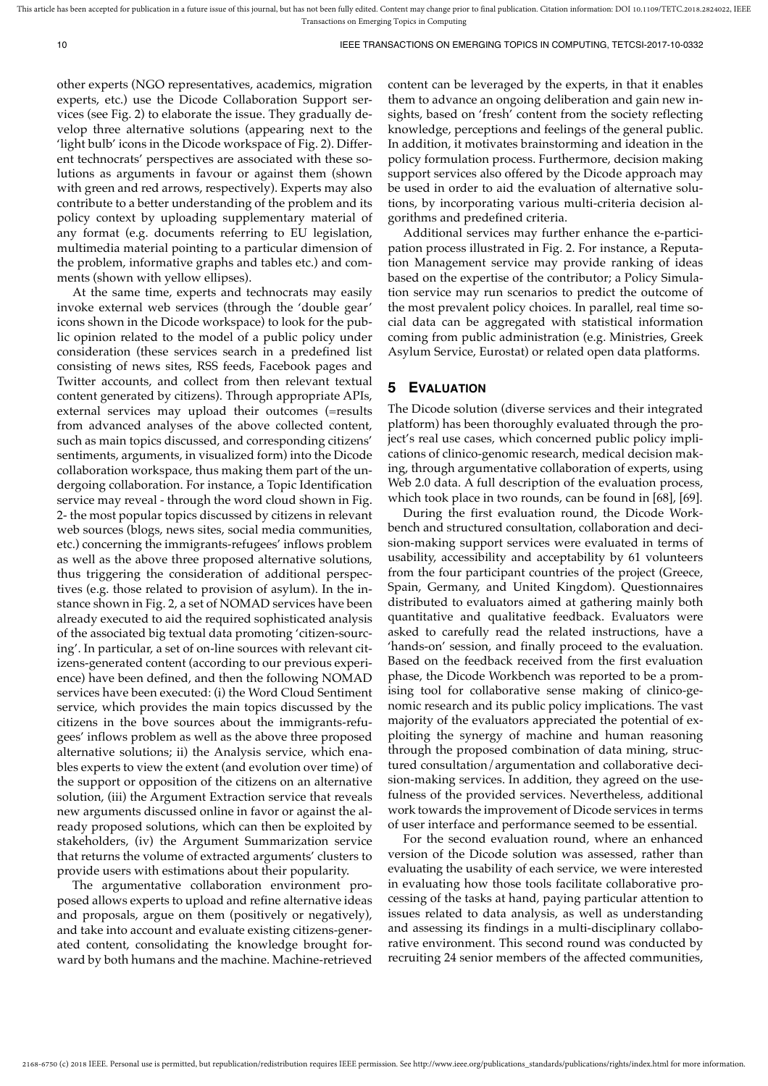10 IEEE TRANSACTIONS ON EMERGING TOPICS IN COMPUTING, TETCSI-2017-10-0332

other experts (NGO representatives, academics, migration experts, etc.) use the Dicode Collaboration Support services (see Fig. 2) to elaborate the issue. They gradually develop three alternative solutions (appearing next to the 'light bulb' icons in the Dicode workspace of Fig. 2). Different technocrats' perspectives are associated with these solutions as arguments in favour or against them (shown with green and red arrows, respectively). Experts may also contribute to a better understanding of the problem and its policy context by uploading supplementary material of any format (e.g. documents referring to EU legislation, multimedia material pointing to a particular dimension of the problem, informative graphs and tables etc.) and comments (shown with yellow ellipses).

At the same time, experts and technocrats may easily invoke external web services (through the 'double gear' icons shown in the Dicode workspace) to look for the public opinion related to the model of a public policy under consideration (these services search in a predefined list consisting of news sites, RSS feeds, Facebook pages and Twitter accounts, and collect from then relevant textual content generated by citizens). Through appropriate APIs, external services may upload their outcomes (=results from advanced analyses of the above collected content, such as main topics discussed, and corresponding citizens' sentiments, arguments, in visualized form) into the Dicode collaboration workspace, thus making them part of the undergoing collaboration. For instance, a Topic Identification service may reveal - through the word cloud shown in Fig. 2- the most popular topics discussed by citizens in relevant web sources (blogs, news sites, social media communities, etc.) concerning the immigrants-refugees' inflows problem as well as the above three proposed alternative solutions, thus triggering the consideration of additional perspectives (e.g. those related to provision of asylum). In the instance shown in Fig. 2, a set of NOMAD services have been already executed to aid the required sophisticated analysis of the associated big textual data promoting 'citizen-sourcing'. In particular, a set of on-line sources with relevant citizens-generated content (according to our previous experience) have been defined, and then the following NOMAD services have been executed: (i) the Word Cloud Sentiment service, which provides the main topics discussed by the citizens in the bove sources about the immigrants-refugees' inflows problem as well as the above three proposed alternative solutions; ii) the Analysis service, which enables experts to view the extent (and evolution over time) of the support or opposition of the citizens on an alternative solution, (iii) the Argument Extraction service that reveals new arguments discussed online in favor or against the already proposed solutions, which can then be exploited by stakeholders, (iv) the Argument Summarization service that returns the volume of extracted arguments' clusters to provide users with estimations about their popularity.

The argumentative collaboration environment proposed allows experts to upload and refine alternative ideas and proposals, argue on them (positively or negatively), and take into account and evaluate existing citizens-generated content, consolidating the knowledge brought forward by both humans and the machine. Machine-retrieved content can be leveraged by the experts, in that it enables them to advance an ongoing deliberation and gain new insights, based on 'fresh' content from the society reflecting knowledge, perceptions and feelings of the general public. In addition, it motivates brainstorming and ideation in the policy formulation process. Furthermore, decision making support services also offered by the Dicode approach may be used in order to aid the evaluation of alternative solutions, by incorporating various multi-criteria decision algorithms and predefined criteria.

Additional services may further enhance the e-participation process illustrated in Fig. 2. For instance, a Reputation Management service may provide ranking of ideas based on the expertise of the contributor; a Policy Simulation service may run scenarios to predict the outcome of the most prevalent policy choices. In parallel, real time social data can be aggregated with statistical information coming from public administration (e.g. Ministries, Greek Asylum Service, Eurostat) or related open data platforms.

# **5 EVALUATION**

The Dicode solution (diverse services and their integrated platform) has been thoroughly evaluated through the project's real use cases, which concerned public policy implications of clinico-genomic research, medical decision making, through argumentative collaboration of experts, using Web 2.0 data. A full description of the evaluation process, which took place in two rounds, can be found in [68], [69].

During the first evaluation round, the Dicode Workbench and structured consultation, collaboration and decision-making support services were evaluated in terms of usability, accessibility and acceptability by 61 volunteers from the four participant countries of the project (Greece, Spain, Germany, and United Kingdom). Questionnaires distributed to evaluators aimed at gathering mainly both quantitative and qualitative feedback. Evaluators were asked to carefully read the related instructions, have a 'hands-on' session, and finally proceed to the evaluation. Based on the feedback received from the first evaluation phase, the Dicode Workbench was reported to be a promising tool for collaborative sense making of clinico-genomic research and its public policy implications. The vast majority of the evaluators appreciated the potential of exploiting the synergy of machine and human reasoning through the proposed combination of data mining, structured consultation/argumentation and collaborative decision-making services. In addition, they agreed on the usefulness of the provided services. Nevertheless, additional work towards the improvement of Dicode services in terms of user interface and performance seemed to be essential.

For the second evaluation round, where an enhanced version of the Dicode solution was assessed, rather than evaluating the usability of each service, we were interested in evaluating how those tools facilitate collaborative processing of the tasks at hand, paying particular attention to issues related to data analysis, as well as understanding and assessing its findings in a multi-disciplinary collaborative environment. This second round was conducted by recruiting 24 senior members of the affected communities,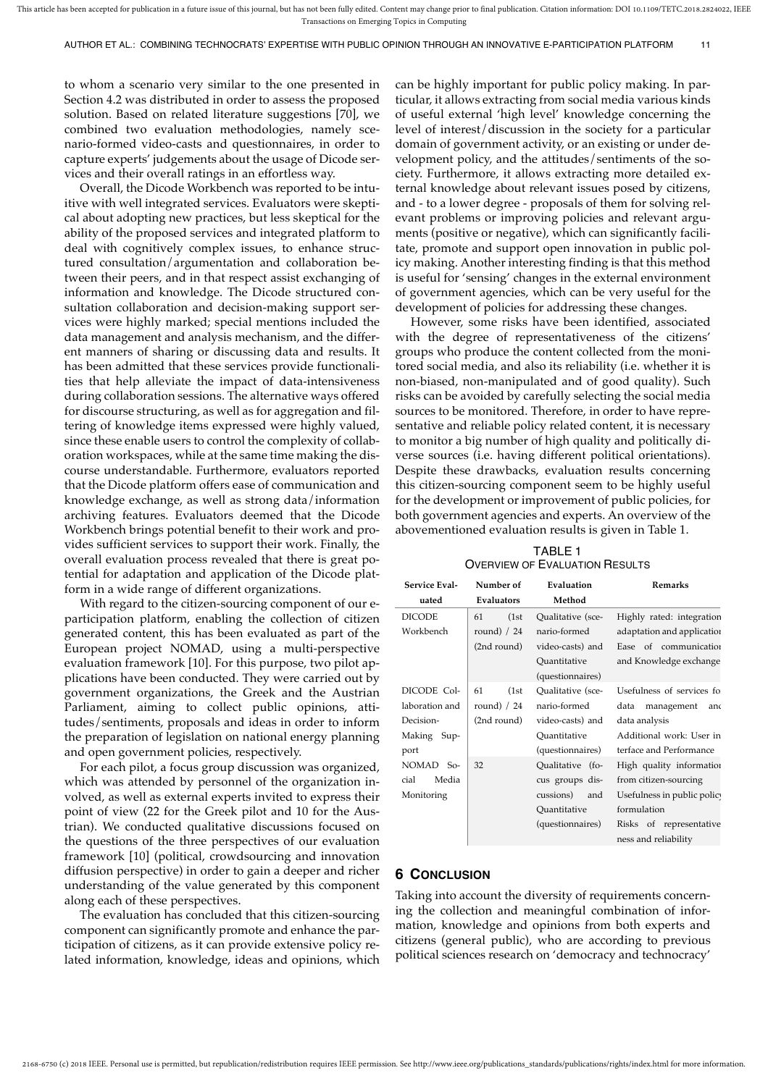to whom a scenario very similar to the one presented in Section 4.2 was distributed in order to assess the proposed solution. Based on related literature suggestions [70], we combined two evaluation methodologies, namely scenario-formed video-casts and questionnaires, in order to capture experts' judgements about the usage of Dicode services and their overall ratings in an effortless way.

Overall, the Dicode Workbench was reported to be intuitive with well integrated services. Evaluators were skeptical about adopting new practices, but less skeptical for the ability of the proposed services and integrated platform to deal with cognitively complex issues, to enhance structured consultation/argumentation and collaboration between their peers, and in that respect assist exchanging of information and knowledge. The Dicode structured consultation collaboration and decision-making support services were highly marked; special mentions included the data management and analysis mechanism, and the different manners of sharing or discussing data and results. It has been admitted that these services provide functionalities that help alleviate the impact of data-intensiveness during collaboration sessions. The alternative ways offered for discourse structuring, as well as for aggregation and filtering of knowledge items expressed were highly valued, since these enable users to control the complexity of collaboration workspaces, while at the same time making the discourse understandable. Furthermore, evaluators reported that the Dicode platform offers ease of communication and knowledge exchange, as well as strong data/information archiving features. Evaluators deemed that the Dicode Workbench brings potential benefit to their work and provides sufficient services to support their work. Finally, the overall evaluation process revealed that there is great potential for adaptation and application of the Dicode platform in a wide range of different organizations.

With regard to the citizen-sourcing component of our eparticipation platform, enabling the collection of citizen generated content, this has been evaluated as part of the European project NOMAD, using a multi-perspective evaluation framework [10]. For this purpose, two pilot applications have been conducted. They were carried out by government organizations, the Greek and the Austrian Parliament, aiming to collect public opinions, attitudes/sentiments, proposals and ideas in order to inform the preparation of legislation on national energy planning and open government policies, respectively.

For each pilot, a focus group discussion was organized, which was attended by personnel of the organization involved, as well as external experts invited to express their point of view (22 for the Greek pilot and 10 for the Austrian). We conducted qualitative discussions focused on the questions of the three perspectives of our evaluation framework [10] (political, crowdsourcing and innovation diffusion perspective) in order to gain a deeper and richer understanding of the value generated by this component along each of these perspectives.

The evaluation has concluded that this citizen-sourcing component can significantly promote and enhance the participation of citizens, as it can provide extensive policy related information, knowledge, ideas and opinions, which can be highly important for public policy making. In particular, it allows extracting from social media various kinds of useful external 'high level' knowledge concerning the level of interest/discussion in the society for a particular domain of government activity, or an existing or under development policy, and the attitudes/sentiments of the society. Furthermore, it allows extracting more detailed external knowledge about relevant issues posed by citizens, and - to a lower degree - proposals of them for solving relevant problems or improving policies and relevant arguments (positive or negative), which can significantly facilitate, promote and support open innovation in public policy making. Another interesting finding is that this method is useful for 'sensing' changes in the external environment of government agencies, which can be very useful for the development of policies for addressing these changes.

However, some risks have been identified, associated with the degree of representativeness of the citizens' groups who produce the content collected from the monitored social media, and also its reliability (i.e. whether it is non-biased, non-manipulated and of good quality). Such risks can be avoided by carefully selecting the social media sources to be monitored. Therefore, in order to have representative and reliable policy related content, it is necessary to monitor a big number of high quality and politically diverse sources (i.e. having different political orientations). Despite these drawbacks, evaluation results concerning this citizen-sourcing component seem to be highly useful for the development or improvement of public policies, for both government agencies and experts. An overview of the abovementioned evaluation results is given in Table 1.

TABLE 1 OVERVIEW OF EVALUATION RESULTS

| <b>Service Eval-</b> | Number of         | Evaluation               | <b>Remarks</b>              |
|----------------------|-------------------|--------------------------|-----------------------------|
| uated                | <b>Evaluators</b> | Method                   |                             |
| <b>DICODE</b>        | (1st)<br>61       | <b>Oualitative</b> (sce- | Highly rated: integration   |
| Workbench            | round) $/24$      | nario-formed             | adaptation and application  |
|                      | (2nd round)       | video-casts) and         | Ease of communication       |
|                      |                   | Ouantitative             | and Knowledge exchange      |
|                      |                   | (questionnaires)         |                             |
| DICODE Col-          | 61<br>(1st)       | <b>Oualitative</b> (sce- | Usefulness of services fo   |
| laboration and       | round) $/24$      | nario-formed             | data<br>management<br>ano   |
| Decision-            | (2nd round)       | video-casts) and         | data analysis               |
| Making Sup-          |                   | Ouantitative             | Additional work: User in    |
| port                 |                   | (questionnaires)         | terface and Performance     |
| NOMAD So-            | 32                | Oualitative (fo-         | High quality information    |
| Media<br>cial        |                   | cus groups dis-          | from citizen-sourcing       |
| Monitoring           |                   | cussions)<br>and         | Usefulness in public policy |
|                      |                   | Ouantitative             | formulation                 |
|                      |                   | (questionnaires)         | Risks of representative     |
|                      |                   |                          | ness and reliability        |

## **6 CONCLUSION**

Taking into account the diversity of requirements concerning the collection and meaningful combination of information, knowledge and opinions from both experts and citizens (general public), who are according to previous political sciences research on 'democracy and technocracy'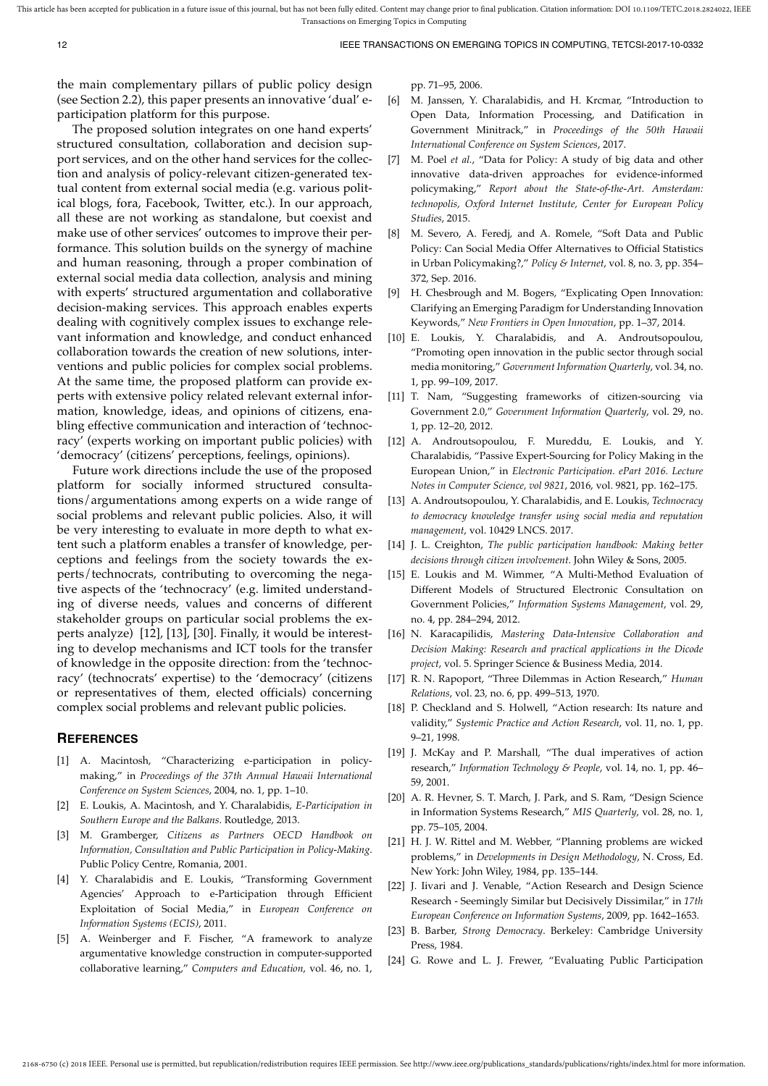the main complementary pillars of public policy design (see Section 2.2), this paper presents an innovative 'dual' eparticipation platform for this purpose.

The proposed solution integrates on one hand experts' structured consultation, collaboration and decision support services, and on the other hand services for the collection and analysis of policy-relevant citizen-generated textual content from external social media (e.g. various political blogs, fora, Facebook, Twitter, etc.). In our approach, all these are not working as standalone, but coexist and make use of other services' outcomes to improve their performance. This solution builds on the synergy of machine and human reasoning, through a proper combination of external social media data collection, analysis and mining with experts' structured argumentation and collaborative decision-making services. This approach enables experts dealing with cognitively complex issues to exchange relevant information and knowledge, and conduct enhanced collaboration towards the creation of new solutions, interventions and public policies for complex social problems. At the same time, the proposed platform can provide experts with extensive policy related relevant external information, knowledge, ideas, and opinions of citizens, enabling effective communication and interaction of 'technocracy' (experts working on important public policies) with 'democracy' (citizens' perceptions, feelings, opinions).

Future work directions include the use of the proposed platform for socially informed structured consultations/argumentations among experts on a wide range of social problems and relevant public policies. Also, it will be very interesting to evaluate in more depth to what extent such a platform enables a transfer of knowledge, perceptions and feelings from the society towards the experts/technocrats, contributing to overcoming the negative aspects of the 'technocracy' (e.g. limited understanding of diverse needs, values and concerns of different stakeholder groups on particular social problems the experts analyze) [12], [13], [30]. Finally, it would be interesting to develop mechanisms and ICT tools for the transfer of knowledge in the opposite direction: from the 'technocracy' (technocrats' expertise) to the 'democracy' (citizens or representatives of them, elected officials) concerning complex social problems and relevant public policies.

## **REFERENCES**

- [1] A. Macintosh, "Characterizing e-participation in policymaking," in *Proceedings of the 37th Annual Hawaii International Conference on System Sciences*, 2004, no. 1, pp. 1–10.
- [2] E. Loukis, A. Macintosh, and Y. Charalabidis, *E-Participation in Southern Europe and the Balkans*. Routledge, 2013.
- [3] M. Gramberger, *Citizens as Partners OECD Handbook on Information, Consultation and Public Participation in Policy-Making*. Public Policy Centre, Romania, 2001.
- [4] Y. Charalabidis and E. Loukis, "Transforming Government Agencies' Approach to e-Participation through Efficient Exploitation of Social Media," in *European Conference on Information Systems (ECIS)*, 2011.
- [5] A. Weinberger and F. Fischer, "A framework to analyze argumentative knowledge construction in computer-supported collaborative learning," *Computers and Education*, vol. 46, no. 1,

pp. 71–95, 2006.

- [6] M. Janssen, Y. Charalabidis, and H. Krcmar, "Introduction to Open Data, Information Processing, and Datification in Government Minitrack," in *Proceedings of the 50th Hawaii International Conference on System Sciences*, 2017.
- [7] M. Poel *et al.*, "Data for Policy: A study of big data and other innovative data-driven approaches for evidence-informed policymaking," *Report about the State-of-the-Art. Amsterdam: technopolis, Oxford Internet Institute, Center for European Policy Studies*, 2015.
- [8] M. Severo, A. Feredj, and A. Romele, "Soft Data and Public Policy: Can Social Media Offer Alternatives to Official Statistics in Urban Policymaking?," *Policy & Internet*, vol. 8, no. 3, pp. 354– 372, Sep. 2016.
- [9] H. Chesbrough and M. Bogers, "Explicating Open Innovation: Clarifying an Emerging Paradigm for Understanding Innovation Keywords," *New Frontiers in Open Innovation*, pp. 1–37, 2014.
- [10] E. Loukis, Y. Charalabidis, and A. Androutsopoulou, "Promoting open innovation in the public sector through social media monitoring," *Government Information Quarterly*, vol. 34, no. 1, pp. 99–109, 2017.
- [11] T. Nam, "Suggesting frameworks of citizen-sourcing via Government 2.0," *Government Information Quarterly*, vol. 29, no. 1, pp. 12–20, 2012.
- [12] A. Androutsopoulou, F. Mureddu, E. Loukis, and Y. Charalabidis, "Passive Expert-Sourcing for Policy Making in the European Union," in *Electronic Participation. ePart 2016. Lecture Notes in Computer Science, vol 9821*, 2016, vol. 9821, pp. 162–175.
- [13] A. Androutsopoulou, Y. Charalabidis, and E. Loukis, *Technocracy to democracy knowledge transfer using social media and reputation management*, vol. 10429 LNCS. 2017.
- [14] J. L. Creighton, *The public participation handbook: Making better decisions through citizen involvement*. John Wiley & Sons, 2005.
- [15] E. Loukis and M. Wimmer, "A Multi-Method Evaluation of Different Models of Structured Electronic Consultation on Government Policies," *Information Systems Management*, vol. 29, no. 4, pp. 284–294, 2012.
- [16] N. Karacapilidis, *Mastering Data-Intensive Collaboration and Decision Making: Research and practical applications in the Dicode project*, vol. 5. Springer Science & Business Media, 2014.
- [17] R. N. Rapoport, "Three Dilemmas in Action Research," *Human Relations*, vol. 23, no. 6, pp. 499–513, 1970.
- [18] P. Checkland and S. Holwell, "Action research: Its nature and validity," *Systemic Practice and Action Research*, vol. 11, no. 1, pp. 9–21, 1998.
- [19] J. McKay and P. Marshall, "The dual imperatives of action research," *Information Technology & People*, vol. 14, no. 1, pp. 46– 59, 2001.
- [20] A. R. Hevner, S. T. March, J. Park, and S. Ram, "Design Science in Information Systems Research," *MIS Quarterly*, vol. 28, no. 1, pp. 75–105, 2004.
- [21] H. J. W. Rittel and M. Webber, "Planning problems are wicked problems," in *Developments in Design Methodology*, N. Cross, Ed. New York: John Wiley, 1984, pp. 135–144.
- [22] J. Iivari and J. Venable, "Action Research and Design Science Research - Seemingly Similar but Decisively Dissimilar," in *17th European Conference on Information Systems*, 2009, pp. 1642–1653.
- [23] B. Barber, *Strong Democracy*. Berkeley: Cambridge University Press, 1984.
- [24] G. Rowe and L. J. Frewer, "Evaluating Public Participation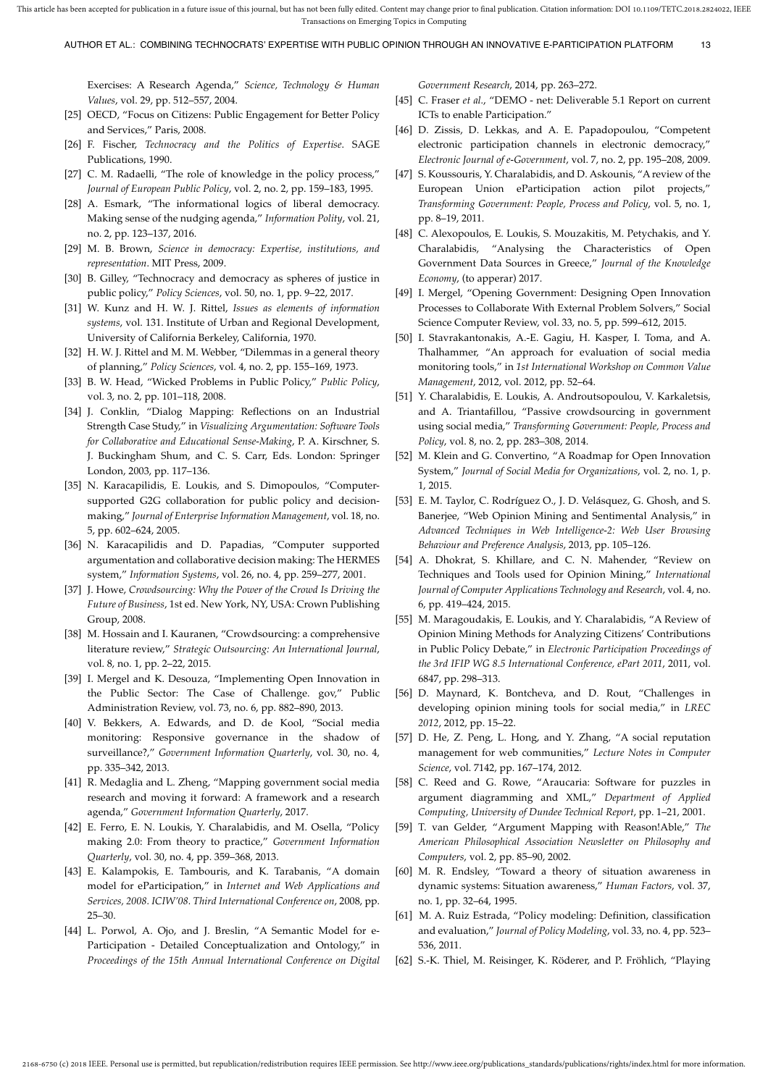AUTHOR ET AL.: COMBINING TECHNOCRATS' EXPERTISE WITH PUBLIC OPINION THROUGH AN INNOVATIVE E-PARTICIPATION PLATFORM 13

Exercises: A Research Agenda," *Science, Technology & Human Values*, vol. 29, pp. 512–557, 2004.

- [25] OECD, "Focus on Citizens: Public Engagement for Better Policy and Services," Paris, 2008.
- [26] F. Fischer, *Technocracy and the Politics of Expertise*. SAGE Publications, 1990.
- [27] C. M. Radaelli, "The role of knowledge in the policy process," *Journal of European Public Policy*, vol. 2, no. 2, pp. 159–183, 1995.
- [28] A. Esmark, "The informational logics of liberal democracy. Making sense of the nudging agenda," *Information Polity*, vol. 21, no. 2, pp. 123–137, 2016.
- [29] M. B. Brown, *Science in democracy: Expertise, institutions, and representation*. MIT Press, 2009.
- [30] B. Gilley, "Technocracy and democracy as spheres of justice in public policy," *Policy Sciences*, vol. 50, no. 1, pp. 9–22, 2017.
- [31] W. Kunz and H. W. J. Rittel, *Issues as elements of information systems*, vol. 131. Institute of Urban and Regional Development, University of California Berkeley, California, 1970.
- [32] H. W. J. Rittel and M. M. Webber, "Dilemmas in a general theory of planning," *Policy Sciences*, vol. 4, no. 2, pp. 155–169, 1973.
- [33] B. W. Head, "Wicked Problems in Public Policy," *Public Policy*, vol. 3, no. 2, pp. 101–118, 2008.
- [34] J. Conklin, "Dialog Mapping: Reflections on an Industrial Strength Case Study," in *Visualizing Argumentation: Software Tools for Collaborative and Educational Sense-Making*, P. A. Kirschner, S. J. Buckingham Shum, and C. S. Carr, Eds. London: Springer London, 2003, pp. 117–136.
- [35] N. Karacapilidis, E. Loukis, and S. Dimopoulos, "Computersupported G2G collaboration for public policy and decisionmaking," *Journal of Enterprise Information Management*, vol. 18, no. 5, pp. 602–624, 2005.
- [36] N. Karacapilidis and D. Papadias, "Computer supported argumentation and collaborative decision making: The HERMES system," *Information Systems*, vol. 26, no. 4, pp. 259–277, 2001.
- [37] J. Howe, *Crowdsourcing: Why the Power of the Crowd Is Driving the Future of Business*, 1st ed. New York, NY, USA: Crown Publishing Group, 2008.
- [38] M. Hossain and I. Kauranen, "Crowdsourcing: a comprehensive literature review," *Strategic Outsourcing: An International Journal*, vol. 8, no. 1, pp. 2–22, 2015.
- [39] I. Mergel and K. Desouza, "Implementing Open Innovation in the Public Sector: The Case of Challenge. gov," Public Administration Review, vol. 73, no. 6, pp. 882–890, 2013.
- [40] V. Bekkers, A. Edwards, and D. de Kool, "Social media monitoring: Responsive governance in the shadow of surveillance?," *Government Information Quarterly*, vol. 30, no. 4, pp. 335–342, 2013.
- [41] R. Medaglia and L. Zheng, "Mapping government social media research and moving it forward: A framework and a research agenda," *Government Information Quarterly*, 2017.
- [42] E. Ferro, E. N. Loukis, Y. Charalabidis, and M. Osella, "Policy making 2.0: From theory to practice," *Government Information Quarterly*, vol. 30, no. 4, pp. 359–368, 2013.
- [43] E. Kalampokis, E. Tambouris, and K. Tarabanis, "A domain model for eParticipation," in *Internet and Web Applications and Services, 2008. ICIW'08. Third International Conference on*, 2008, pp. 25–30.
- [44] L. Porwol, A. Ojo, and J. Breslin, "A Semantic Model for e-Participation - Detailed Conceptualization and Ontology," in *Proceedings of the 15th Annual International Conference on Digital*

*Government Research*, 2014, pp. 263–272.

- [45] C. Fraser *et al.*, "DEMO net: Deliverable 5.1 Report on current ICTs to enable Participation."
- [46] D. Zissis, D. Lekkas, and A. E. Papadopoulou, "Competent electronic participation channels in electronic democracy," *Electronic Journal of e-Government*, vol. 7, no. 2, pp. 195–208, 2009.
- [47] S. Koussouris, Y. Charalabidis, and D. Askounis, "A review of the European Union eParticipation action pilot projects," *Transforming Government: People, Process and Policy*, vol. 5, no. 1, pp. 8–19, 2011.
- [48] C. Alexopoulos, E. Loukis, S. Mouzakitis, M. Petychakis, and Y. Charalabidis, "Analysing the Characteristics of Open Government Data Sources in Greece," *Journal of the Knowledge Economy*, (to apperar) 2017.
- [49] I. Mergel, "Opening Government: Designing Open Innovation Processes to Collaborate With External Problem Solvers," Social Science Computer Review, vol. 33, no. 5, pp. 599–612, 2015.
- [50] I. Stavrakantonakis, A.-E. Gagiu, H. Kasper, I. Toma, and A. Thalhammer, "An approach for evaluation of social media monitoring tools," in *1st International Workshop on Common Value Management*, 2012, vol. 2012, pp. 52–64.
- [51] Y. Charalabidis, E. Loukis, A. Androutsopoulou, V. Karkaletsis, and A. Triantafillou, "Passive crowdsourcing in government using social media," *Transforming Government: People, Process and Policy*, vol. 8, no. 2, pp. 283–308, 2014.
- [52] M. Klein and G. Convertino, "A Roadmap for Open Innovation System," *Journal of Social Media for Organizations*, vol. 2, no. 1, p. 1, 2015.
- [53] E. M. Taylor, C. Rodríguez O., J. D. Velásquez, G. Ghosh, and S. Banerjee, "Web Opinion Mining and Sentimental Analysis," in *Advanced Techniques in Web Intelligence-2: Web User Browsing Behaviour and Preference Analysis*, 2013, pp. 105–126.
- [54] A. Dhokrat, S. Khillare, and C. N. Mahender, "Review on Techniques and Tools used for Opinion Mining," *International Journal of Computer Applications Technology and Research*, vol. 4, no. 6, pp. 419–424, 2015.
- [55] M. Maragoudakis, E. Loukis, and Y. Charalabidis, "A Review of Opinion Mining Methods for Analyzing Citizens' Contributions in Public Policy Debate," in *Electronic Participation Proceedings of the 3rd IFIP WG 8.5 International Conference, ePart 2011*, 2011, vol. 6847, pp. 298–313.
- [56] D. Maynard, K. Bontcheva, and D. Rout, "Challenges in developing opinion mining tools for social media," in *LREC 2012*, 2012, pp. 15–22.
- [57] D. He, Z. Peng, L. Hong, and Y. Zhang, "A social reputation management for web communities," *Lecture Notes in Computer Science*, vol. 7142, pp. 167–174, 2012.
- [58] C. Reed and G. Rowe, "Araucaria: Software for puzzles in argument diagramming and XML," *Department of Applied Computing, University of Dundee Technical Report*, pp. 1–21, 2001.
- [59] T. van Gelder, "Argument Mapping with Reason!Able," *The American Philosophical Association Newsletter on Philosophy and Computers*, vol. 2, pp. 85–90, 2002.
- [60] M. R. Endsley, "Toward a theory of situation awareness in dynamic systems: Situation awareness," *Human Factors*, vol. 37, no. 1, pp. 32–64, 1995.
- [61] M. A. Ruiz Estrada, "Policy modeling: Definition, classification and evaluation," *Journal of Policy Modeling*, vol. 33, no. 4, pp. 523– 536, 2011.
- [62] S.-K. Thiel, M. Reisinger, K. Röderer, and P. Fröhlich, "Playing